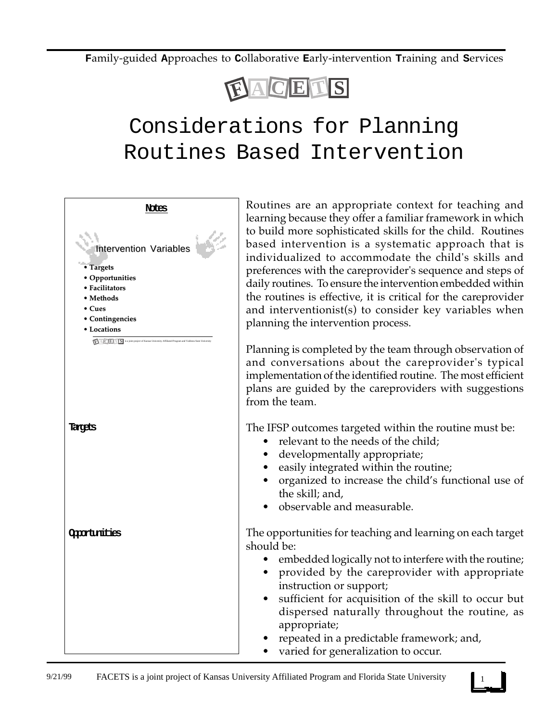**F**amily-guided **A**pproaches to **C**ollaborative **E**arly-intervention **T**raining and **S**ervices



## Considerations for Planning Routines Based Intervention



Routines are an appropriate context for teaching and learning because they offer a familiar framework in which to build more sophisticated skills for the child. Routines based intervention is a systematic approach that is individualized to accommodate the child's skills and preferences with the careprovider's sequence and steps of daily routines. To ensure the intervention embedded within the routines is effective, it is critical for the careprovider and interventionist(s) to consider key variables when planning the intervention process.

Planning is completed by the team through observation of and conversations about the careprovider's typical implementation of the identified routine. The most efficient plans are guided by the careproviders with suggestions

The IFSP outcomes targeted within the routine must be:

- relevant to the needs of the child;
- developmentally appropriate;
- easily integrated within the routine;
- organized to increase the child's functional use of the skill; and,
- observable and measurable.

The opportunities for teaching and learning on each target

- embedded logically not to interfere with the routine;
- provided by the careprovider with appropriate instruction or support;
- sufficient for acquisition of the skill to occur but dispersed naturally throughout the routine, as appropriate;
- repeated in a predictable framework; and,
- varied for generalization to occur.

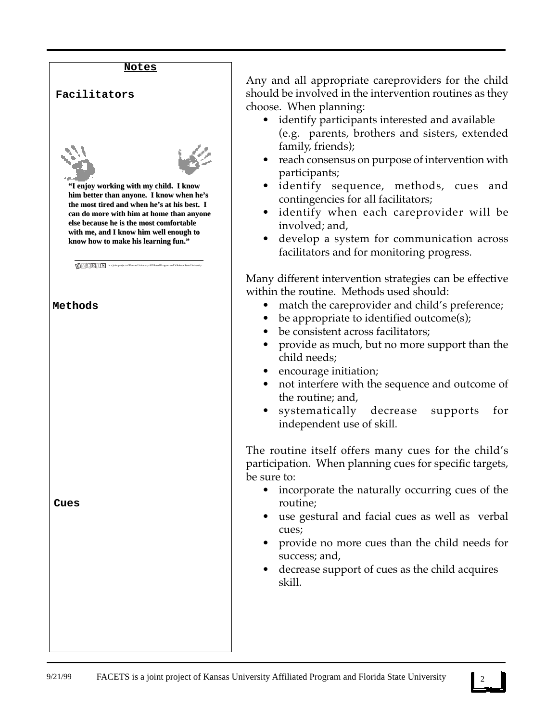

Any and all appropriate careproviders for the child should be involved in the intervention routines as they choose. When planning:

- identify participants interested and available (e.g. parents, brothers and sisters, extended family, friends);
- reach consensus on purpose of intervention with participants;
- identify sequence, methods, cues and contingencies for all facilitators;
- identify when each careprovider will be involved; and,
- develop a system for communication across facilitators and for monitoring progress.

Many different intervention strategies can be effective within the routine. Methods used should:

- match the careprovider and child's preference;
- be appropriate to identified outcome(s);
- be consistent across facilitators;
- provide as much, but no more support than the child needs;
- encourage initiation;
- not interfere with the sequence and outcome of the routine; and,
- systematically decrease supports for independent use of skill.

The routine itself offers many cues for the child's participation. When planning cues for specific targets,

- incorporate the naturally occurring cues of the routine;
- use gestural and facial cues as well as verbal cues;
- provide no more cues than the child needs for success; and,
- decrease support of cues as the child acquires skill.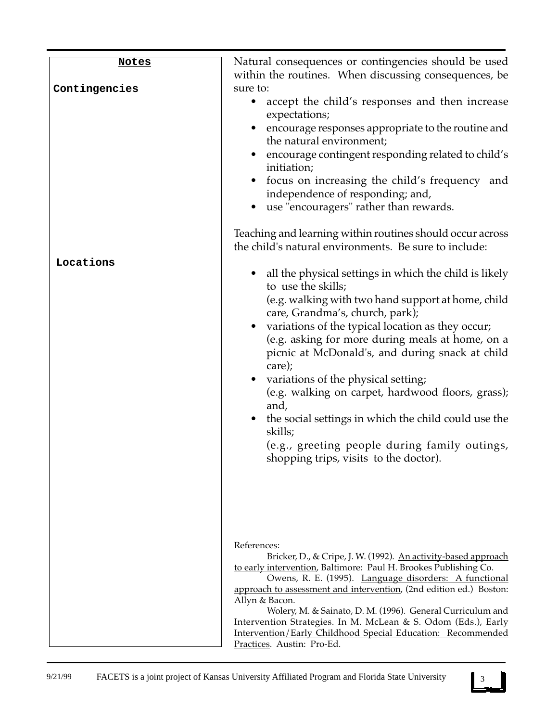| <b>Notes</b>               | Natural consequences or contingencies should be used<br>within the routines. When discussing consequences, be                                                                                                                                                                                                                                                                                                                                                                                                                                                                                                                                                                                                                                                                                                                                                                                                                                                                                                                                                                                                    |
|----------------------------|------------------------------------------------------------------------------------------------------------------------------------------------------------------------------------------------------------------------------------------------------------------------------------------------------------------------------------------------------------------------------------------------------------------------------------------------------------------------------------------------------------------------------------------------------------------------------------------------------------------------------------------------------------------------------------------------------------------------------------------------------------------------------------------------------------------------------------------------------------------------------------------------------------------------------------------------------------------------------------------------------------------------------------------------------------------------------------------------------------------|
| Contingencies<br>Locations | sure to:<br>accept the child's responses and then increase<br>expectations;<br>• encourage responses appropriate to the routine and<br>the natural environment;<br>encourage contingent responding related to child's<br>initiation;<br>focus on increasing the child's frequency and<br>independence of responding; and,<br>• use "encouragers" rather than rewards.<br>Teaching and learning within routines should occur across<br>the child's natural environments. Be sure to include:<br>all the physical settings in which the child is likely<br>to use the skills;<br>(e.g. walking with two hand support at home, child<br>care, Grandma's, church, park);<br>• variations of the typical location as they occur;<br>(e.g. asking for more during meals at home, on a<br>picnic at McDonald's, and during snack at child<br>care);<br>• variations of the physical setting;<br>(e.g. walking on carpet, hardwood floors, grass);<br>and,<br>the social settings in which the child could use the<br>skills;<br>(e.g., greeting people during family outings,<br>shopping trips, visits to the doctor). |
|                            | References:<br>Bricker, D., & Cripe, J. W. (1992). An activity-based approach<br>to early intervention, Baltimore: Paul H. Brookes Publishing Co.<br>Owens, R. E. (1995). Language disorders: A functional<br>approach to assessment and intervention, (2nd edition ed.) Boston:<br>Allyn & Bacon.<br>Wolery, M. & Sainato, D. M. (1996). General Curriculum and<br>Intervention Strategies. In M. McLean & S. Odom (Eds.), Early<br>Intervention/Early Childhood Special Education: Recommended<br>Practices. Austin: Pro-Ed.                                                                                                                                                                                                                                                                                                                                                                                                                                                                                                                                                                                   |